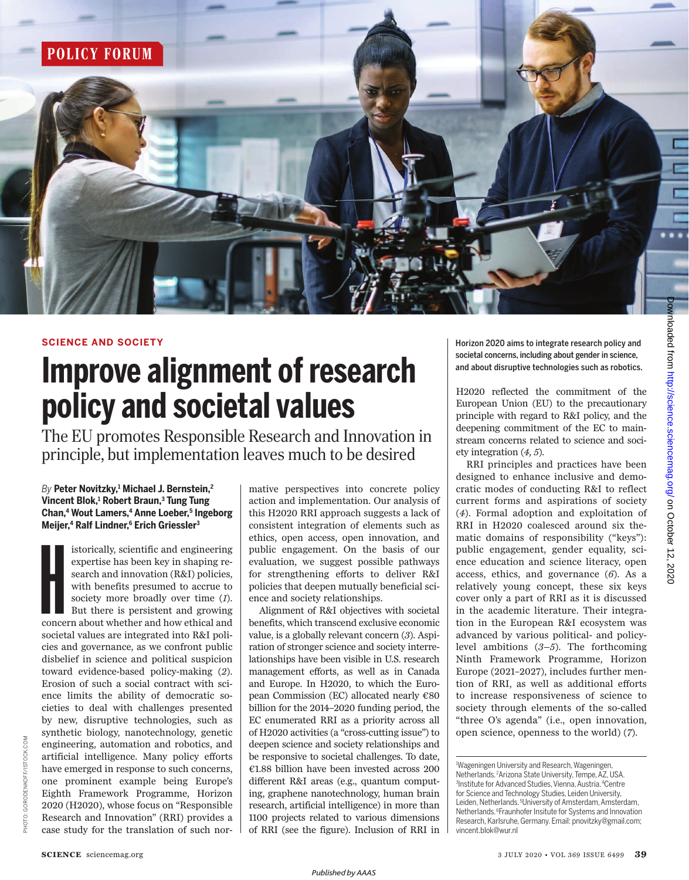

# **SCIENCE AND SOCIETY**

# **Improve alignment of research** policy and societal values

The EU promotes Responsible Research and Innovation in principle, but implementation leaves much to be desired

# *By* **Peter Novitzky, <sup>1</sup> Michael J. Bernstein, 2 Vincent Blok, 1 Robert Braun,<sup>3</sup> Tung Tung Chan,<sup>4</sup> Wout Lamers, 4 Anne Loeber, 5 Ingeborg Meijer, 4 Ralf Lindner, 6 Erich Griessler 3**

istorically, scientific and engineering<br>expertise has been key in shaping re-<br>search and innovation (R&I) policies,<br>with benefits presumed to accrue to<br>society more broadly over time (1).<br>But there is persistent and growin expertise has been key in shaping research and innovation (R&I) policies, with benefits presumed to accrue to society more broadly over time (*1*). But there is persistent and growing societal values are integrated into R&I policies and governance, as we confront public disbelief in science and political suspicion toward evidence-based policy-making (*2*). Erosion of such a social contract with science limits the ability of democratic societies to deal with challenges presented by new, disruptive technologies, such as synthetic biology, nanotechnology, genetic engineering, automation and robotics, and artificial intelligence. Many policy efforts have emerged in response to such concerns, one prominent example being Europe's Eighth Framework Programme, Horizon 2020 (H2020), whose focus on "Responsible Research and Innovation" (RRI) provides a case study for the translation of such normative perspectives into concrete policy action and implementation. Our analysis of this H2020 RRI approach suggests a lack of consistent integration of elements such as ethics, open access, open innovation, and public engagement. On the basis of our evaluation, we suggest possible pathways for strengthening efforts to deliver R&I policies that deepen mutually beneficial science and society relationships.

Alignment of R&I objectives with societal benefits, which transcend exclusive economic value, is a globally relevant concern (*3*). Aspiration of stronger science and society interrelationships have been visible in U.S. research management efforts, as well as in Canada and Europe. In H2020, to which the European Commission (EC) allocated nearly €80 billion for the 2014–2020 funding period, the EC enumerated RRI as a priority across all of H2020 activities (a "cross-cutting issue") to deepen science and society relationships and be responsive to societal challenges. To date, €1.88 billion have been invested across 200 different R&I areas (e.g., quantum computing, graphene nanotechnology, human brain research, artificial intelligence) in more than 1100 projects related to various dimensions of RRI (see the figure). Inclusion of RRI in Horizon 2020 aims to integrate research policy and societal concerns, including about gender in science, and about disruptive technologies such as robotics.

H2020 reflected the commitment of the European Union (EU) to the precautionary principle with regard to R&I policy, and the deepening commitment of the EC to mainstream concerns related to science and society integration (*4, 5*).

RRI principles and practices have been designed to enhance inclusive and democratic modes of conducting R&I to reflect current forms and aspirations of society (*4*). Formal adoption and exploitation of RRI in H2020 coalesced around six thematic domains of responsibility ("keys"): public engagement, gender equality, science education and science literacy, open access, ethics, and governance (*6*). As a relatively young concept, these six keys cover only a part of RRI as it is discussed in the academic literature. Their integration in the European R&I ecosystem was advanced by various political- and policylevel ambitions (*3–5*). The forthcoming Ninth Framework Programme, Horizon Europe (2021–2027), includes further mention of RRI, as well as additional efforts to increase responsiveness of science to society through elements of the so-called "three O's agenda" (i.e., open innovation, open science, openness to the world) (*7*).

<sup>&</sup>lt;sup>1</sup>Wageningen University and Research, Wageningen, Netherlands. <sup>2</sup>Arizona State University, Tempe,AZ,USA. <sup>3</sup>Institute for Advanced Studies, Vienna, Austria. <sup>4</sup>Centre for Science and Technology Studies, Leiden University, Leiden, Netherlands. <sup>5</sup>University of Amsterdam,Amsterdam, Netherlands. <sup>6</sup>Fraunhofer Insitute for Systems and Innovation Research, Karlsruhe, Germany. Email: pnovitzky@gmail.com; vincent.blok@wur.nl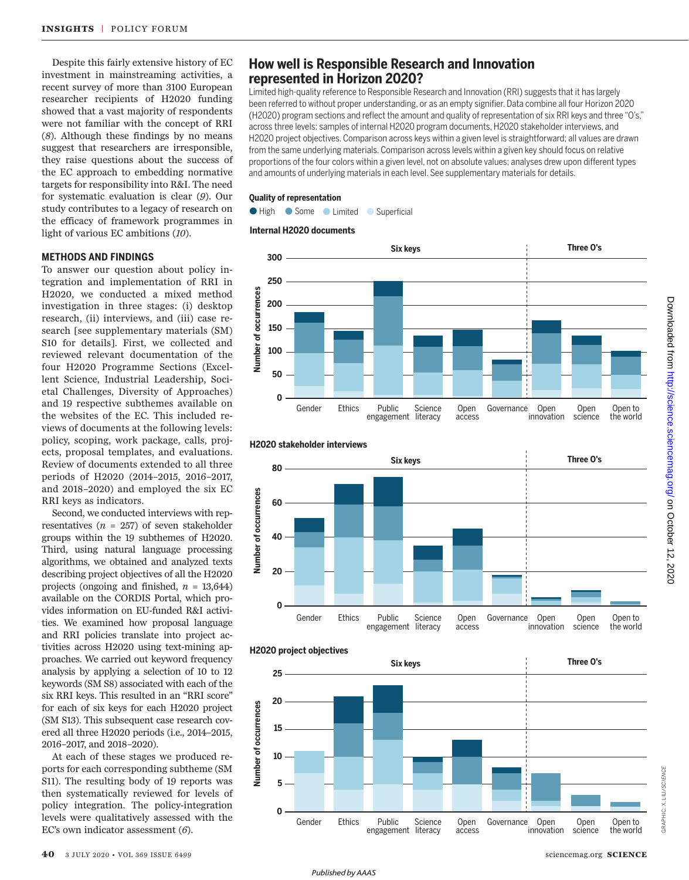Despite this fairly extensive history of EC investment in mainstreaming activities, a recent survey of more than 3100 European researcher recipients of H2020 funding showed that a vast majority of respondents were not familiar with the concept of RRI (*8*). Although these findings by no means suggest that researchers are irresponsible, they raise questions about the success of the EC approach to embedding normative targets for responsibility into R&I. The need for systematic evaluation is clear (*9*). Our study contributes to a legacy of research on the efficacy of framework programmes in light of various EC ambitions (*10*).

#### **METHODS AND FINDINGS**

To answer our question about policy integration and implementation of RRI in H2020, we conducted a mixed method investigation in three stages: (i) desktop research, (ii) interviews, and (iii) case research [see supplementary materials (SM) S10 for details]. First, we collected and reviewed relevant documentation of the four H2020 Programme Sections (Excellent Science, Industrial Leadership, Societal Challenges, Diversity of Approaches) and 19 respective subthemes available on the websites of the EC. This included reviews of documents at the following levels: policy, scoping, work package, calls, projects, proposal templates, and evaluations. Review of documents extended to all three periods of H2020 (2014–2015, 2016–2017, and 2018–2020) and employed the six EC RRI keys as indicators.

Second, we conducted interviews with representatives  $(n = 257)$  of seven stakeholder groups within the 19 subthemes of H2020. Third, using natural language processing algorithms, we obtained and analyzed texts describing project objectives of all the H2020 projects (ongoing and finished, *n* = 13,644) available on the CORDIS Portal, which provides information on EU-funded R&I activities. We examined how proposal language and RRI policies translate into project activities across H2020 using text-mining approaches. We carried out keyword frequency analysis by applying a selection of 10 to 12 keywords (SM S8) associated with each of the six RRI keys. This resulted in an "RRI score" for each of six keys for each H2020 project (SM S13). This subsequent case research covered all three H2020 periods (i.e., 2014–2015, 2016–2017, and 2018–2020).

At each of these stages we produced reports for each corresponding subtheme (SM S11). The resulting body of 19 reports was then systematically reviewed for levels of policy integration. The policy-integration levels were qualitatively assessed with the EC's own indicator assessment (*6*).

# **How well is Responsible Research and Innovation represented in Horizon 2020?**

Limited high-quality reference to Responsible Research and Innovation (RRI) suggests that it has largely been referred to without proper understanding, or as an empty signifier. Data combine all four Horizon 2020 (H2020) program sections and reflect the amount and quality of representation of six RRI keys and three "O's," across three levels: samples of internal H2020 program documents, H2020 stakeholder interviews, and H2020 project objectives. Comparison across keys within a given level is straightforward; all values are drawn from the same underlying materials. Comparison across levels within a given key should focus on relative proportions of the four colors within a given level, not on absolute values; analyses drew upon different types and amounts of underlying materials in each level. See supplementary materials for details.

### **Quality of representation**

● High ● Some ● Limited ● Superficial

#### **Internal H2020 documents**







GRAPHIC: X. LIU/*SCIENCE*

**GRAPHIC: X. LILI/SCIENCE**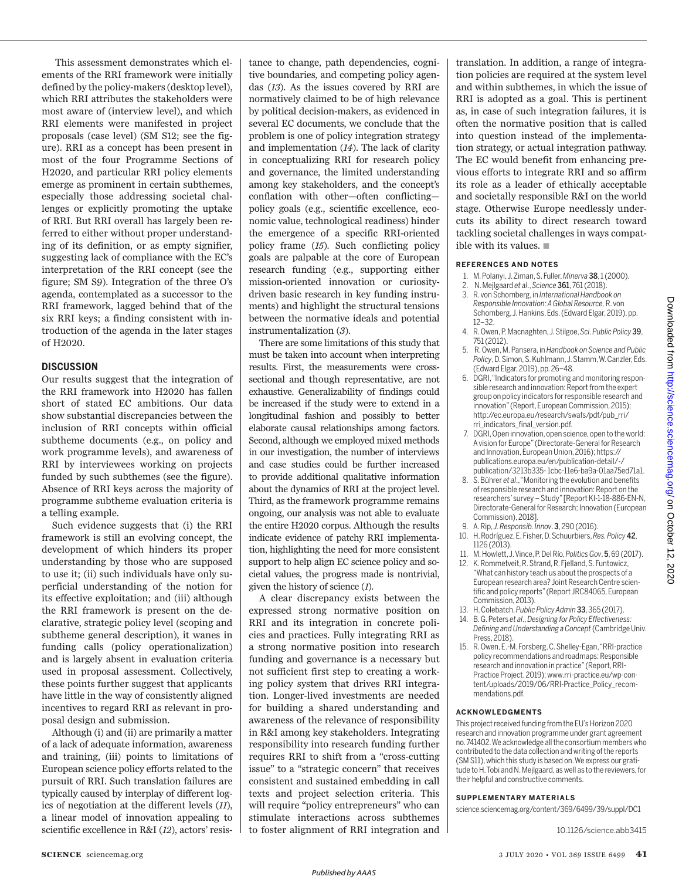This assessment demonstrates which elements of the RRI framework were initially defined by the policy-makers (desktop level), which RRI attributes the stakeholders were most aware of (interview level), and which RRI elements were manifested in project proposals (case level) (SM S12; see the figure). RRI as a concept has been present in most of the four Programme Sections of H2020, and particular RRI policy elements emerge as prominent in certain subthemes, especially those addressing societal challenges or explicitly promoting the uptake of RRI. But RRI overall has largely been referred to either without proper understanding of its definition, or as empty signifier, suggesting lack of compliance with the EC's interpretation of the RRI concept (see the figure; SM S9). Integration of the three O's agenda, contemplated as a successor to the RRI framework, lagged behind that of the six RRI keys; a finding consistent with introduction of the agenda in the later stages of H2020.

## **DISCUSSION**

Our results suggest that the integration of the RRI framework into H2020 has fallen short of stated EC ambitions. Our data show substantial discrepancies between the inclusion of RRI concepts within official subtheme documents (e.g., on policy and work programme levels), and awareness of RRI by interviewees working on projects funded by such subthemes (see the figure). Absence of RRI keys across the majority of programme subtheme evaluation criteria is a telling example.

Such evidence suggests that (i) the RRI framework is still an evolving concept, the development of which hinders its proper understanding by those who are supposed to use it; (ii) such individuals have only superficial understanding of the notion for its effective exploitation; and (iii) although the RRI framework is present on the declarative, strategic policy level (scoping and subtheme general description), it wanes in funding calls (policy operationalization) and is largely absent in evaluation criteria used in proposal assessment. Collectively, these points further suggest that applicants have little in the way of consistently aligned incentives to regard RRI as relevant in proposal design and submission.

Although (i) and (ii) are primarily a matter of a lack of adequate information, awareness and training, (iii) points to limitations of European science policy efforts related to the pursuit of RRI. Such translation failures are typically caused by interplay of different logics of negotiation at the different levels (*11*), a linear model of innovation appealing to scientific excellence in R&I (*12*), actors' resistance to change, path dependencies, cognitive boundaries, and competing policy agendas (*13*). As the issues covered by RRI are normatively claimed to be of high relevance by political decision-makers, as evidenced in several EC documents, we conclude that the problem is one of policy integration strategy and implementation (*14*). The lack of clarity in conceptualizing RRI for research policy and governance, the limited understanding among key stakeholders, and the concept's conflation with other—often conflicting policy goals (e.g., scientific excellence, economic value, technological readiness) hinder the emergence of a specific RRI-oriented policy frame (*15*). Such conflicting policy goals are palpable at the core of European research funding (e.g., supporting either mission-oriented innovation or curiositydriven basic research in key funding instruments) and highlight the structural tensions between the normative ideals and potential instrumentalization (*3*).

There are some limitations of this study that must be taken into account when interpreting results. First, the measurements were crosssectional and though representative, are not exhaustive. Generalizability of findings could be increased if the study were to extend in a longitudinal fashion and possibly to better elaborate causal relationships among factors. Second, although we employed mixed methods in our investigation, the number of interviews and case studies could be further increased to provide additional qualitative information about the dynamics of RRI at the project level. Third, as the framework programme remains ongoing, our analysis was not able to evaluate the entire H2020 corpus. Although the results indicate evidence of patchy RRI implementation, highlighting the need for more consistent support to help align EC science policy and societal values, the progress made is nontrivial, given the history of science (*1*).

A clear discrepancy exists between the expressed strong normative position on RRI and its integration in concrete policies and practices. Fully integrating RRI as a strong normative position into research funding and governance is a necessary but not sufficient first step to creating a working policy system that drives RRI integration. Longer-lived investments are needed for building a shared understanding and awareness of the relevance of responsibility in R&I among key stakeholders. Integrating responsibility into research funding further requires RRI to shift from a "cross-cutting issue" to a "strategic concern" that receives consistent and sustained embedding in call texts and project selection criteria. This will require "policy entrepreneurs" who can stimulate interactions across subthemes to foster alignment of RRI integration and translation. In addition, a range of integration policies are required at the system level and within subthemes, in which the issue of RRI is adopted as a goal. This is pertinent as, in case of such integration failures, it is often the normative position that is called into question instead of the implementation strategy, or actual integration pathway. The EC would benefit from enhancing previous efforts to integrate RRI and so affirm its role as a leader of ethically acceptable and societally responsible R&I on the world stage. Otherwise Europe needlessly undercuts its ability to direct research toward tackling societal challenges in ways compatible with its values.  $\blacksquare$ 

#### **REFERENCES AND NOTES**

- 1. M. Polanyi,J.Ziman, S. Fuller,*Minerva* 38,1 (2000).
- 2. N. Mejlgaard *et al*., *Science* 361, 761 (2018).
- 3. R. von Schomberg, in *International Handbook on Responsible Innovation:A Global Resource,* R. von Schomberg, J. Hankins, Eds. (Edward Elgar, 2019), pp. 12–32.
- 4. R. Owen, P. Macnaghten,J. Stilgoe,*Sci. Public Policy* 39, 751 (2012).
- 5. R. Owen, M. Pansera, in *Handbook on Science and Public* Policy, D. Simon, S. Kuhlmann, J. Stamm, W. Canzler, Eds. (Edward Elgar, 2019), pp. 26–48.
- 6. DGRI, "Indicators for promoting and monitoring responsible research and innovation: Report from the expert group on policy indicators for responsible research and innovation" (Report, European Commission,2015); http://ec.europa.eu/research/swafs/pdf/pub\_rri/ rri\_indicators\_final\_version.pdf.
- 7. DGRI, Open innovation, open science, open to the world: Avision for Europe" (Directorate-General for Research and Innovation, European Union, 2016); https:// publications.europa.eu/en/publication-detail/-/ publication/3213b335- 1cbc-11e6-ba9a-01aa75ed71a1.
- 8. S. Bührer *et al*.,"Monitoring the evolution and benefits of responsible research and innovation: Report on the researchers' survey – Study" [Report KI-1-18-886-EN-N, Directorate-General for Research; Innovation (European Commission), 2018].
- 9. A. Rip, *J. Responsib. Innov*. 3, 290 (2016).
- 10. H. Rodríguez, E. Fisher, D. Schuurbiers,*Res. Policy* 42, 1126 (2013).
- 11. M. Howlett,J.Vince, P. Del Río,*Politics Gov*. 5,69 (2017). 12. K. Rommetveit, R. Strand, R. Fjelland, S. Funtowicz, "What can history teach us about the prospects of a European research area? Joint Research Centre scientific and policy reports" (Report JRC84065, European Commission, 2013).
- 13. H. Colebatch,*Public Policy Admin* 33, 365 (2017).
- 14. B. G. Peters *et al*., *Designing for Policy Effectiveness:* Defining and Understanding a Concept (Cambridge Univ. Press, 2018).
- 15. R. Owen, E.-M. Forsberg, C. Shelley-Egan, "RRI-practice policy recommendations and roadmaps: Responsible research and innovation in practice"(Report,RRI-Practice Project, 2019);www.rri-practice.eu/wp-content/uploads/2019/06/RRI-Practice\_Policy\_recommendations.pdf.

#### **ACKNOWLEDGMENTS**

This project received funding from the EU's Horizon 2020 research and innovation programme under grant agreement no. 741402.We acknowledge all the consortiummembers who contributed to the data collection and writing of the reports (SMS11),which this study is based on.We express our gratitude to H.Tobi and N. Mejlgaard, as well as to the reviewers,for their helpful and constructive comments.

#### **SUPPLEMENTARY MATERIALS**

science.sciencemag.org/content/369/6499/39/suppl/DC1

10.1126/science.abb3415